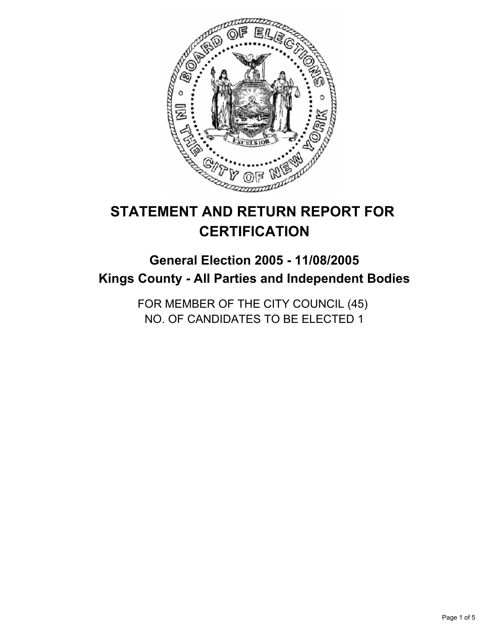

# **STATEMENT AND RETURN REPORT FOR CERTIFICATION**

## **General Election 2005 - 11/08/2005 Kings County - All Parties and Independent Bodies**

FOR MEMBER OF THE CITY COUNCIL (45) NO. OF CANDIDATES TO BE ELECTED 1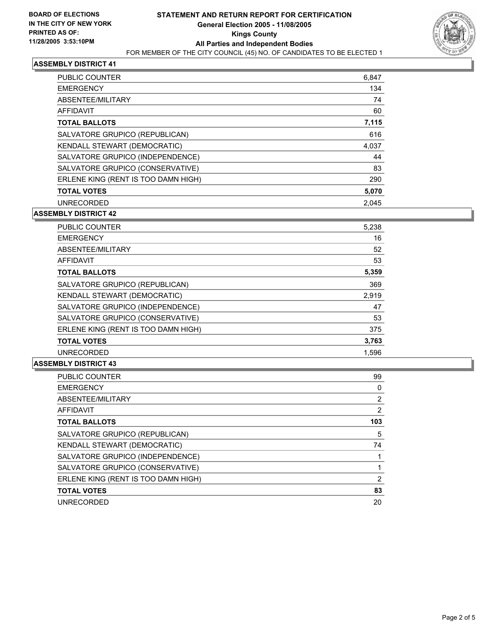

## **ASSEMBLY DISTRICT 41**

| PUBLIC COUNTER                      | 6,847 |
|-------------------------------------|-------|
| <b>EMERGENCY</b>                    | 134   |
| ABSENTEE/MILITARY                   | 74    |
| AFFIDAVIT                           | 60    |
| <b>TOTAL BALLOTS</b>                | 7,115 |
| SALVATORE GRUPICO (REPUBLICAN)      | 616   |
| KENDALL STEWART (DEMOCRATIC)        | 4,037 |
| SALVATORE GRUPICO (INDEPENDENCE)    | 44    |
| SALVATORE GRUPICO (CONSERVATIVE)    | 83    |
| ERLENE KING (RENT IS TOO DAMN HIGH) | 290   |
| <b>TOTAL VOTES</b>                  | 5,070 |
| <b>UNRECORDED</b>                   | 2.045 |

#### **ASSEMBLY DISTRICT 42**

| <b>PUBLIC COUNTER</b>               | 5,238 |
|-------------------------------------|-------|
| <b>EMERGENCY</b>                    | 16    |
| ABSENTEE/MILITARY                   | 52    |
| AFFIDAVIT                           | 53    |
| <b>TOTAL BALLOTS</b>                | 5,359 |
| SALVATORE GRUPICO (REPUBLICAN)      | 369   |
| KENDALL STEWART (DEMOCRATIC)        | 2,919 |
| SALVATORE GRUPICO (INDEPENDENCE)    | 47    |
| SALVATORE GRUPICO (CONSERVATIVE)    | 53    |
| ERLENE KING (RENT IS TOO DAMN HIGH) | 375   |
| <b>TOTAL VOTES</b>                  | 3,763 |
| <b>UNRECORDED</b>                   | 1,596 |

## **ASSEMBLY DISTRICT 43**

| PUBLIC COUNTER                      | 99  |
|-------------------------------------|-----|
| <b>EMERGENCY</b>                    |     |
| ABSENTEE/MILITARY                   |     |
| AFFIDAVIT                           | 2   |
| <b>TOTAL BALLOTS</b>                | 103 |
| SALVATORE GRUPICO (REPUBLICAN)      | 5   |
| KENDALL STEWART (DEMOCRATIC)        | 74  |
| SALVATORE GRUPICO (INDEPENDENCE)    |     |
| SALVATORE GRUPICO (CONSERVATIVE)    |     |
| ERLENE KING (RENT IS TOO DAMN HIGH) | 2   |
| <b>TOTAL VOTES</b>                  | 83  |
| UNRECORDED                          | 20  |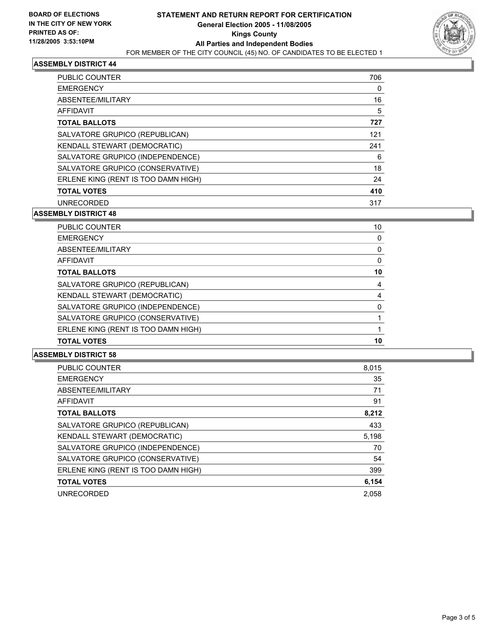

## **ASSEMBLY DISTRICT 44**

| <b>PUBLIC COUNTER</b>               | 706 |
|-------------------------------------|-----|
| <b>EMERGENCY</b>                    |     |
| ABSENTEE/MILITARY                   | 16  |
| AFFIDAVIT                           | 5   |
| <b>TOTAL BALLOTS</b>                | 727 |
| SALVATORE GRUPICO (REPUBLICAN)      | 121 |
| KENDALL STEWART (DEMOCRATIC)        | 241 |
| SALVATORE GRUPICO (INDEPENDENCE)    | 6   |
| SALVATORE GRUPICO (CONSERVATIVE)    | 18  |
| ERLENE KING (RENT IS TOO DAMN HIGH) | 24  |
| <b>TOTAL VOTES</b>                  | 410 |
| <b>UNRECORDED</b>                   | 317 |

#### **ASSEMBLY DISTRICT 48**

| PUBLIC COUNTER                      | 10 |
|-------------------------------------|----|
| EMERGENCY                           |    |
| ABSENTEE/MILITARY                   |    |
| AFFIDAVIT                           |    |
| TOTAL BALLOTS                       | 10 |
| SALVATORE GRUPICO (REPUBLICAN)      |    |
| KENDALL STEWART (DEMOCRATIC)        |    |
| SALVATORE GRUPICO (INDEPENDENCE)    |    |
| SALVATORE GRUPICO (CONSERVATIVE)    |    |
| ERLENE KING (RENT IS TOO DAMN HIGH) |    |
| TOTAL VOTES                         | 10 |
|                                     |    |

## **ASSEMBLY DISTRICT 58**

| <b>PUBLIC COUNTER</b>               | 8,015 |
|-------------------------------------|-------|
| <b>EMERGENCY</b>                    | 35    |
| ABSENTEE/MILITARY                   | 71    |
| <b>AFFIDAVIT</b>                    | 91    |
| <b>TOTAL BALLOTS</b>                | 8,212 |
| SALVATORE GRUPICO (REPUBLICAN)      | 433   |
| KENDALL STEWART (DEMOCRATIC)        | 5,198 |
| SALVATORE GRUPICO (INDEPENDENCE)    | 70    |
| SALVATORE GRUPICO (CONSERVATIVE)    | 54    |
| ERLENE KING (RENT IS TOO DAMN HIGH) | 399   |
| <b>TOTAL VOTES</b>                  | 6,154 |
| <b>UNRECORDED</b>                   | 2.058 |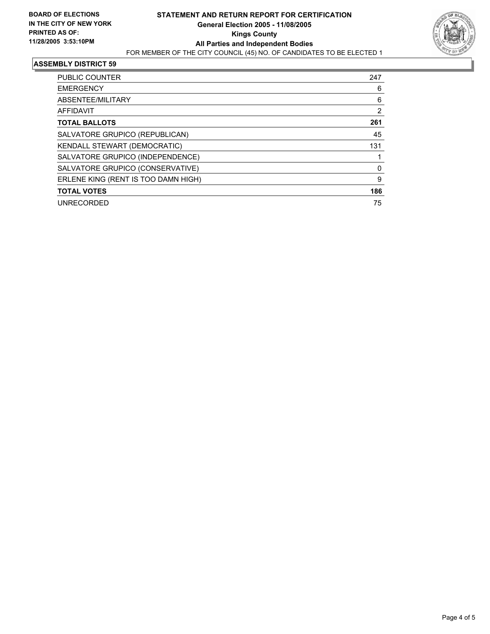

#### **ASSEMBLY DISTRICT 59**

| <b>PUBLIC COUNTER</b>               | 247 |
|-------------------------------------|-----|
| <b>EMERGENCY</b>                    | 6   |
| ABSENTEE/MILITARY                   | 6   |
| <b>AFFIDAVIT</b>                    | 2   |
| <b>TOTAL BALLOTS</b>                | 261 |
| SALVATORE GRUPICO (REPUBLICAN)      | 45  |
| KENDALL STEWART (DEMOCRATIC)        | 131 |
| SALVATORE GRUPICO (INDEPENDENCE)    |     |
| SALVATORE GRUPICO (CONSERVATIVE)    |     |
| ERLENE KING (RENT IS TOO DAMN HIGH) | 9   |
| <b>TOTAL VOTES</b>                  | 186 |
| <b>UNRECORDED</b>                   | 75  |